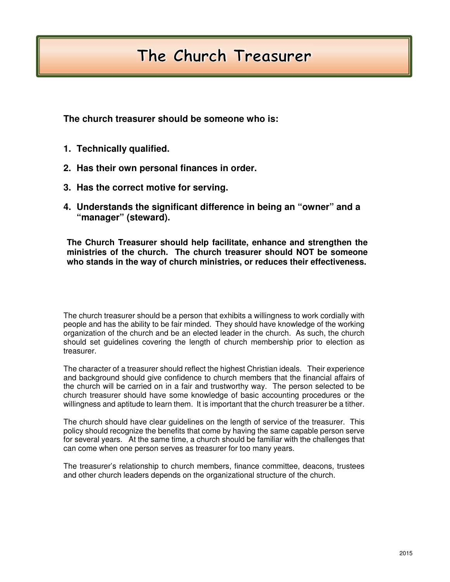## The Church Treasurer

**The church treasurer should be someone who is:** 

- **1. Technically qualified.**
- **2. Has their own personal finances in order.**
- **3. Has the correct motive for serving.**
- **4. Understands the significant difference in being an "owner" and a "manager" (steward).**

**The Church Treasurer should help facilitate, enhance and strengthen the ministries of the church. The church treasurer should NOT be someone who stands in the way of church ministries, or reduces their effectiveness.** 

The church treasurer should be a person that exhibits a willingness to work cordially with people and has the ability to be fair minded. They should have knowledge of the working organization of the church and be an elected leader in the church. As such, the church should set guidelines covering the length of church membership prior to election as treasurer.

The character of a treasurer should reflect the highest Christian ideals. Their experience and background should give confidence to church members that the financial affairs of the church will be carried on in a fair and trustworthy way. The person selected to be church treasurer should have some knowledge of basic accounting procedures or the willingness and aptitude to learn them. It is important that the church treasurer be a tither.

The church should have clear guidelines on the length of service of the treasurer. This policy should recognize the benefits that come by having the same capable person serve for several years. At the same time, a church should be familiar with the challenges that can come when one person serves as treasurer for too many years.

The treasurer's relationship to church members, finance committee, deacons, trustees and other church leaders depends on the organizational structure of the church.